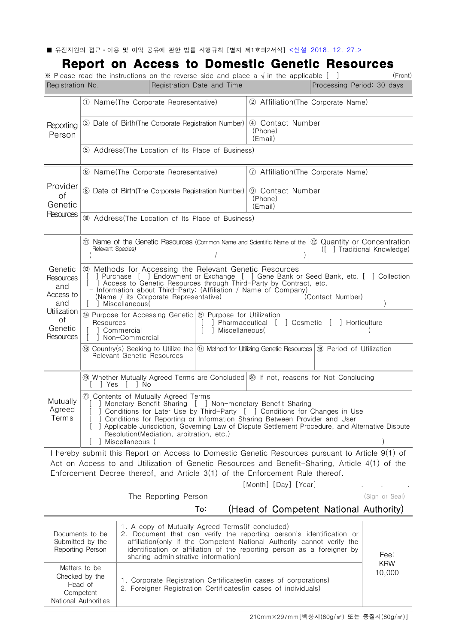■ 유전자원의 접근ㆍ이용 및 이익 공유에 관한 법률 시행규칙 [별지 제1호의2서식] <신설 2018. 12. 27.>

# Report on Access to Domestic Genetic Resources

|                                                                                              | Registration No.<br>Registration Date and Time                                                                                                                                                                                                                                                                                                                                        | Processing Period: 30 days                                                                                                                |  |
|----------------------------------------------------------------------------------------------|---------------------------------------------------------------------------------------------------------------------------------------------------------------------------------------------------------------------------------------------------------------------------------------------------------------------------------------------------------------------------------------|-------------------------------------------------------------------------------------------------------------------------------------------|--|
| Reporting<br>Person                                                                          | 1) Name(The Corporate Representative)                                                                                                                                                                                                                                                                                                                                                 | (2) Affiliation (The Corporate Name)                                                                                                      |  |
|                                                                                              | 3) Date of Birth(The Corporate Registration Number)                                                                                                                                                                                                                                                                                                                                   | 4) Contact Number<br>(Phone)<br>(Email)                                                                                                   |  |
|                                                                                              | (5) Address (The Location of Its Place of Business)                                                                                                                                                                                                                                                                                                                                   |                                                                                                                                           |  |
| Provider<br>of<br>Genetic<br>Resources                                                       | 6 Name (The Corporate Representative)                                                                                                                                                                                                                                                                                                                                                 | 1 Affiliation (The Corporate Name)                                                                                                        |  |
|                                                                                              | 8 Date of Birth(The Corporate Registration Number) (9) Contact Number                                                                                                                                                                                                                                                                                                                 | (Phone)<br>(Email)                                                                                                                        |  |
|                                                                                              | 10 Address (The Location of Its Place of Business)                                                                                                                                                                                                                                                                                                                                    |                                                                                                                                           |  |
| Genetic<br>Resources<br>and<br>Access to<br>and<br>Utilization<br>of<br>Genetic<br>Resources | Relevant Species)                                                                                                                                                                                                                                                                                                                                                                     | (1) Name of the Genetic Resources (Common Name and Scientific Name of the $(12)$ Quantity or Concentration<br>([ ] Traditional Knowledge) |  |
|                                                                                              | <sup>(3)</sup> Methods for Accessing the Relevant Genetic Resources<br>] Purchase [ ] Endowment or Exchange [ ] Gene Bank or Seed Bank, etc. [ ] Collection<br>Access to Genetic Resources through Third-Party by Contract, etc.<br>- Information about Third-Party: (Affiliation / Name of Company)<br>(Name / its Corporate Representative)<br>(Contact Number)<br>] Miscellaneous( |                                                                                                                                           |  |
|                                                                                              | 14 Purpose for Accessing Genetic 6 Purpose for Utilization<br>Resources                                                                                                                                                                                                                                                                                                               | ] Pharmaceutical [ ] Cosmetic [ ] Horticulture                                                                                            |  |
|                                                                                              | Miscellaneous(<br>Commercial<br>Non-Commercial                                                                                                                                                                                                                                                                                                                                        |                                                                                                                                           |  |
|                                                                                              | 66 Country(s) Seeking to Utilize the (17) Method for Utilizing Genetic Resources (18) Period of Utilization<br><b>Relevant Genetic Resources</b>                                                                                                                                                                                                                                      |                                                                                                                                           |  |
|                                                                                              | 1999 Whether Mutually Agreed Terms are Concluded 20 If not, reasons for Not Concluding<br>[ ] Yes<br>$\perp$<br>l No                                                                                                                                                                                                                                                                  |                                                                                                                                           |  |

[Month] [Day] [Year] . . .

The Reporting Person and the Seal (Sign or Seal)

## To: (Head of Competent National Authority)

| Documents to be<br>Submitted by the<br>Reporting Person                         | 1. A copy of Mutually Agreed Terms(if concluded)<br>2. Document that can verify the reporting person's identification or<br>affiliation (only if the Competent National Authority cannot verify the<br>identification or affiliation of the reporting person as a foreigner by<br>sharing administrative information) | Fee:                 |
|---------------------------------------------------------------------------------|-----------------------------------------------------------------------------------------------------------------------------------------------------------------------------------------------------------------------------------------------------------------------------------------------------------------------|----------------------|
| Matters to be<br>Checked by the<br>Head of<br>Competent<br>National Authorities | 1. Corporate Registration Certificates (in cases of corporations)<br>2. Foreigner Registration Certificates (in cases of individuals)                                                                                                                                                                                 | <b>KRW</b><br>10,000 |